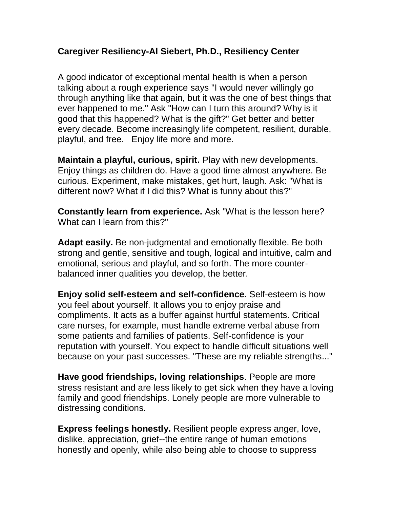## **Caregiver Resiliency[-Al Siebert, Ph.D.,](http://www.resiliencycenter.com/albio.shtml) Resiliency Center**

A good indicator of exceptional mental health is when a person talking about a rough experience says "I would never willingly go through anything like that again, but it was the one of best things that ever happened to me." Ask "How can I turn this around? Why is it good that this happened? What is the gift?" Get better and better every decade. Become increasingly life competent, resilient, durable, playful, and free. Enjoy life more and more.

**Maintain a playful, curious, spirit.** Play with new developments. Enjoy things as children do. Have a good time almost anywhere. Be curious. Experiment, make mistakes, get hurt, laugh. Ask: "What is different now? What if I did this? What is funny about this?"

**Constantly learn from experience.** Ask "What is the lesson here? What can I learn from this?"

**Adapt easily.** Be non-judgmental and emotionally flexible. Be both strong and gentle, sensitive and tough, logical and intuitive, calm and emotional, serious and playful, and so forth. The more counterbalanced inner qualities you develop, the better.

**Enjoy solid self-esteem and self-confidence.** Self-esteem is how you feel about yourself. It allows you to enjoy praise and compliments. It acts as a buffer against hurtful statements. Critical care nurses, for example, must handle extreme verbal abuse from some patients and families of patients. Self-confidence is your reputation with yourself. You expect to handle difficult situations well because on your past successes. "These are my reliable strengths..."

**Have good friendships, loving relationships**. People are more stress resistant and are less likely to get sick when they have a loving family and good friendships. Lonely people are more vulnerable to distressing conditions.

**Express feelings honestly.** Resilient people express anger, love, dislike, appreciation, grief--the entire range of human emotions honestly and openly, while also being able to choose to suppress